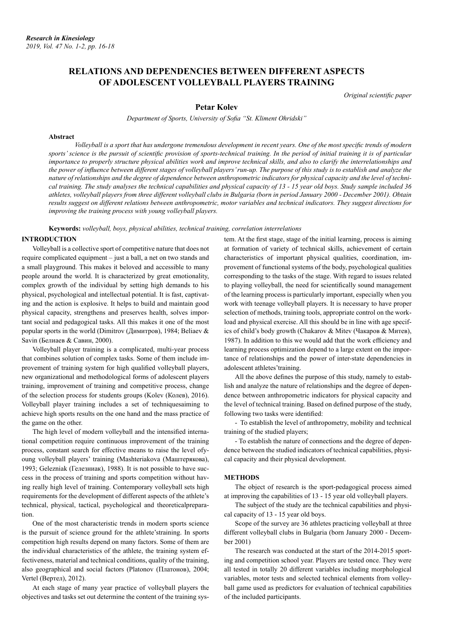# **RELATIONS AND DEPENDENCIES BETWEEN DIFFERENT ASPECTS OF ADOLESCENT VOLLEYBALL PLAYERS TRAINING**

*Original scientific paper*

# **Petar Kolev**

*Department of Sports, University of Sofia "St. Kliment Ohridski"*

#### **Abstract**

*Volleyball is a sport that has undergone tremendous development in recent years. One of the most specific trends of modern sports' science is the pursuit of scientific provision of sports-technical training. In the period of initial training it is of particular importance to properly structure physical abilities work and improve technical skills, and also to clarify the interrelationships and the power of influence between different stages of volleyball players' run-up. The purpose of this study is to establish and analyze the nature of relationships and the degree of dependence between anthropometric indicators for physical capacity and the level of technical training. The study analyses the technical capabilities and physical capacity of 13 - 15 year old boys. Study sample included 36 athletes, volleyball players from three different volleyball clubs in Bulgaria (born in period January 2000 - December 2001). Obtain results suggest on different relations between anthropometric, motor variables and technical indicators. They suggest directions for improving the training process with young volleyball players.*

## **Keywords:** *volleyball, boys, physical abilities, technical training, correlation interrelations*

### **INTRODUCTION**

Volleyball is a collective sport of competitive nature that does not require complicated equipment – just a ball, a net on two stands and a small playground. This makes it beloved and accessible to many people around the world. It is characterized by great emotionality, complex growth of the individual by setting high demands to his physical, psychological and intellectual potential. It is fast, captivating and the action is explosive. It helps to build and maintain good physical capacity, strengthens and preserves health, solves important social and pedagogical tasks. All this makes it one of the most popular sports in the world (Dimitrov (Димитров), 1984; Beliaev & Savin (Белиаев & Савин, 2000).

Volleyball player training is a complicated, multi-year process that combines solution of complex tasks. Some of them include improvement of training system for high qualified volleyball players, new organizational and methodological forms of adolescent players training, improvement of training and competitive process, change of the selection process for students groups (Kolev (Колев), 2016). Volleyball player training includes a set of techniquesaiming to achieve high sports results on the one hand and the mass practice of the game on the other.

The high level of modern volleyball and the intensified international competition require continuous improvement of the training process, constant search for effective means to raise the level ofyoung volleyball players' training (Mashteriakova (Маштерякова), 1993; Gelezniak (Гелезниак), 1988). It is not possible to have success in the process of training and sports competition without having really high level of training. Contemporary volleyball sets high requirements for the development of different aspects of the athlete's technical, physical, tactical, psychological and theoreticalpreparation.

One of the most characteristic trends in modern sports science is the pursuit of science ground for the athlete'straining. In sports competition high results depend on many factors. Some of them are the individual characteristics of the athlete, the training system effectiveness, material and technical conditions, quality of the training, also geographical and social factors (Platonov (Платонов), 2004; Vertel (Вертел), 2012).

At each stage of many year practice of volleyball players the objectives and tasks set out determine the content of the training system. At the first stage, stage of the initial learning, process is aiming at formation of variety of technical skills, achievement of certain characteristics of important physical qualities, coordination, improvement of functional systems of the body, psychological qualities corresponding to the tasks of the stage. With regard to issues related to playing volleyball, the need for scientifically sound management of the learning process is particularly important, especially when you work with teenage volleyball players. It is necessary to have proper selection of methods, training tools, appropriate control on the workload and physical exercise. All this should be in line with age specifics of child's body growth (Chakarov & Mitev (Чакаров & Митев), 1987). In addition to this we would add that the work efficiency and learning process optimization depend to a large extent on the importance of relationships and the power of inter-state dependencies in adolescent athletes'training.

All the above defines the purpose of this study, namely to establish and analyze the nature of relationships and the degree of dependence between anthropometric indicators for physical capacity and the level of technical training. Based on defined purpose of the study, following two tasks were identified:

- To establish the level of anthropometry, mobility and technical training of the studied players;

- To establish the nature of connections and the degree of dependence between the studied indicators of technical capabilities, physical capacity and their physical development.

#### **METHODS**

The object of research is the sport-pedagogical process aimed at improving the capabilities of 13 - 15 year old volleyball players.

The subject of the study are the technical capabilities and physical capacity of 13 - 15 year old boys.

Scope of the survey are 36 athletes practicing volleyball at three different volleyball clubs in Bulgaria (born January 2000 - December 2001)

The research was conducted at the start of the 2014-2015 sporting and competition school year. Players are tested once. They were all tested in totally 20 different variables including morphological variables, motor tests and selected technical elements from volleyball game used as predictors for evaluation of technical capabilities of the included participants.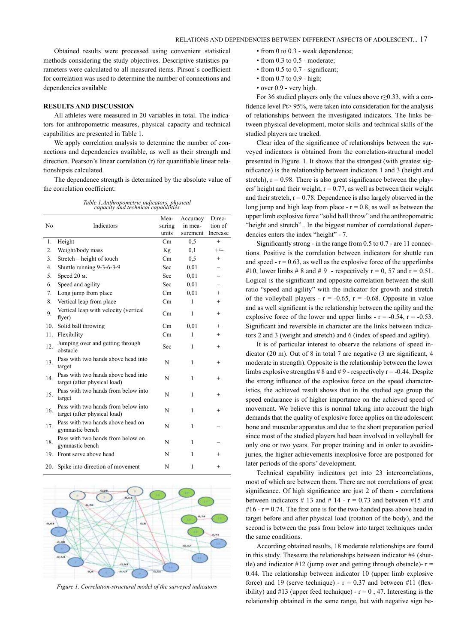Obtained results were processed using convenient statistical methods considering the study objectives. Descriptive statistics parameters were calculated to all measured items. Pirson`s coefficient for correlation was used to determine the number of connections and dependencies available

# **RESULTS AND DISCUSSION**

All athletes were measured in 20 variables in total. The indicators for anthropometric measures, physical capacity and technical capabilities are presented in Table 1.

We apply correlation analysis to determine the number of connections and dependencies available, as well as their strength and direction. Pearson's linear correlation (r) for quantifiable linear relationshipsis calculated.

The dependence strength is determined by the absolute value of the correlation coefficient:

| Table 1.Anthropometric indicators, physical<br>capacity and technical capabilities |  |  |
|------------------------------------------------------------------------------------|--|--|
|                                                                                    |  |  |

|                |                                                                     | Mea-   | Accuracy | Direc-   |
|----------------|---------------------------------------------------------------------|--------|----------|----------|
| N <sub>0</sub> | Indicators                                                          | suring | in mea-  | tion of  |
|                |                                                                     | units  | surement | Increase |
| 1.             | Height                                                              | Cm     | 0, 5     | $^{+}$   |
| 2.             | Weight/body mass                                                    | Kg     | 0,1      | $+/-$    |
| 3.             | Stretch – height of touch                                           | Cm     | 0,5      | $^{+}$   |
| 4.             | Shuttle running 9-3-6-3-9                                           | Sec    | 0.01     |          |
| 5.             | Speed 20 м.                                                         | Sec    | 0.01     |          |
| 6.             | Speed and agility                                                   | Sec    | 0.01     |          |
| 7.             | Long jump from place                                                | Cm     | 0,01     | $^{+}$   |
| 8.             | Vertical leap from place                                            | Cm     | 1        | $^{+}$   |
| 9.             | Vertical leap with velocity (vertical<br>flyer)                     | Cm     | 1        | $^{+}$   |
| 10.            | Solid ball throwing                                                 | Cm     | 0,01     | $^{+}$   |
| 11.            | Flexibility                                                         | Cm     | 1        | $^{+}$   |
| 12.            | Jumping over and getting through<br>obstacle                        | Sec    | 1        | $^{+}$   |
| 13.            | Pass with two hands above head into<br>target                       | N      | 1        | $^{+}$   |
| 14.            | Pass with two hands above head into<br>target (after physical load) | N      | 1        | $^{+}$   |
| 15.            | Pass with two hands from below into<br>target                       | N      | 1        | $^{+}$   |
| 16.            | Pass with two hands from below into<br>target (after physical load) | N      | 1        | $^{+}$   |
| 17.            | Pass with two hands above head on<br>gymnastic bench                | N      | 1        |          |
| 18.            | Pass with two hands from below on<br>gymnastic bench                | N      | 1        |          |
| 19.            | Front serve above head                                              | N      | 1        | $^{+}$   |
| 20.            | Spike into direction of movement                                    | N      | 1        | $^{+}$   |



*Figure 1. Correlation-structural model of the surveyed indicators*

- from 0 to 0.3 weak dependence:
- from 0.3 to 0.5 moderate;
- from 0.5 to 0.7 significant;
- from 0.7 to 0.9 high;
- over 0.9 very high.

For 36 studied players only the values above r≥0.33, with a confidence level Pt> 95%, were taken into consideration for the analysis of relationships between the investigated indicators. The links between physical development, motor skills and technical skills of the studied players are tracked.

Clear idea of the significance of relationships between the surveyed indicators is obtained from the correlation-structural model presented in Figure. 1. It shows that the strongest (with greatest significance) is the relationship between indicators 1 and 3 (height and stretch),  $r = 0.98$ . There is also great significance between the players' height and their weight,  $r = 0.77$ , as well as between their weight and their stretch,  $r = 0.78$ . Dependence is also largely observed in the long jump and high leap from place  $-r = 0.8$ , as well as between the upper limb explosive force "solid ball throw" and the anthropometric "height and stretch" . In the biggest number of correlational dependencies enters the index "height" - 7.

Significantly strong - in the range from 0.5 to 0.7 - are 11 connections. Positive is the correlation between indicators for shuttle run and speed  $- r = 0.63$ , as well as the explosive force of the upperlimbs #10, lower limbs # 8 and # 9 - respectively  $r = 0$ , 57 and  $r = 0.51$ . Logical is the significant and opposite correlation between the skill ratio "speed and agility" with the indicator for growth and stretch of the volleyball players -  $r = -0.65$ ,  $r = -0.68$ . Opposite in value and as well significant is the relationship between the agility and the explosive force of the lower and upper limbs -  $r = -0.54$ ,  $r = -0.53$ . Significant and reversible in character are the links between indicators 2 and 3 (weight and stretch) and 6 (index of speed and agility).

It is of particular interest to observe the relations of speed indicator (20 m). Out of 8 in total 7 are negative (3 are significant, 4 moderate in strength). Opposite is the relationship between the lower limbs explosive strengths  $\# 8$  and  $\# 9$  - respectively  $r = -0.44$ . Despite the strong influence of the explosive force on the speed characteristics, the achieved result shows that in the studied age group the speed endurance is of higher importance on the achieved speed of movement. We believe this is normal taking into account the high demands that the quality of explosive force applies on the adolescent bone and muscular apparatus and due to the short preparation period since most of the studied players had been involved in volleyball for only one or two years. For proper training and in order to avoidinjuries, the higher achievements inexplosive force are postponed for later periods of the sports' development.

Technical capability indicators get into 23 intercorrelations, most of which are between them. There are not correlations of great significance. Of high significance are just 2 of them - correlations between indicators # 13 and # 14 -  $r = 0.73$  and between #15 and  $#16 - r = 0.74$ . The first one is for the two-handed pass above head in target before and after physical load (rotation of the body), and the second is between the pass from below into target techniques under the same conditions.

According obtained results, 18 moderate relationships are found in this study. Theseare the relationships between indicator #4 (shuttle) and indicator #12 (jump over and getting through obstacle)- $r =$ 0.44. The relationship between indicator 10 (upper limb explosive force) and 19 (serve technique) -  $r = 0.37$  and between #11 (flexibility) and #13 (upper feed technique) -  $r = 0$ , 47. Interesting is the relationship obtained in the same range, but with negative sign be-